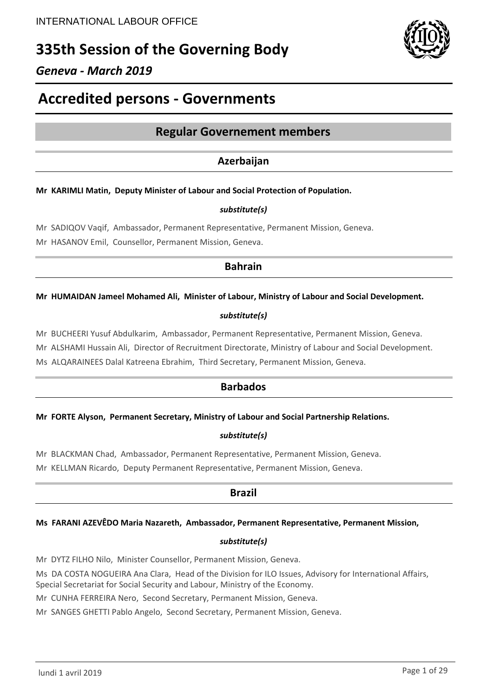# **335th Session of the Governing Body**

## *Geneva - March 2019*

# **Accredited persons - Governments**

## **Regular Governement members**

## **Azerbaijan**

### **Mr KARIMLI Matin, Deputy Minister of Labour and Social Protection of Population.**

### *substitute(s)*

Mr SADIQOV Vaqif, Ambassador, Permanent Representative, Permanent Mission, Geneva. Mr HASANOV Emil, Counsellor, Permanent Mission, Geneva.

## **Bahrain**

#### **Mr HUMAIDAN Jameel Mohamed Ali, Minister of Labour, Ministry of Labour and Social Development.**

### *substitute(s)*

Mr BUCHEERI Yusuf Abdulkarim, Ambassador, Permanent Representative, Permanent Mission, Geneva.

Mr ALSHAMI Hussain Ali, Director of Recruitment Directorate, Ministry of Labour and Social Development.

Ms ALQARAINEES Dalal Katreena Ebrahim, Third Secretary, Permanent Mission, Geneva.

## **Barbados**

#### **Mr FORTE Alyson, Permanent Secretary, Ministry of Labour and Social Partnership Relations.**

### *substitute(s)*

Mr BLACKMAN Chad, Ambassador, Permanent Representative, Permanent Mission, Geneva.

Mr KELLMAN Ricardo, Deputy Permanent Representative, Permanent Mission, Geneva.

## **Brazil**

#### **Ms FARANI AZEVÊDO Maria Nazareth, Ambassador, Permanent Representative, Permanent Mission,**

### *substitute(s)*

Mr DYTZ FILHO Nilo, Minister Counsellor, Permanent Mission, Geneva.

Ms DA COSTA NOGUEIRA Ana Clara, Head of the Division for ILO Issues, Advisory for International Affairs,

Special Secretariat for Social Security and Labour, Ministry of the Economy.

Mr CUNHA FERREIRA Nero, Second Secretary, Permanent Mission, Geneva.

Mr SANGES GHETTI Pablo Angelo, Second Secretary, Permanent Mission, Geneva.

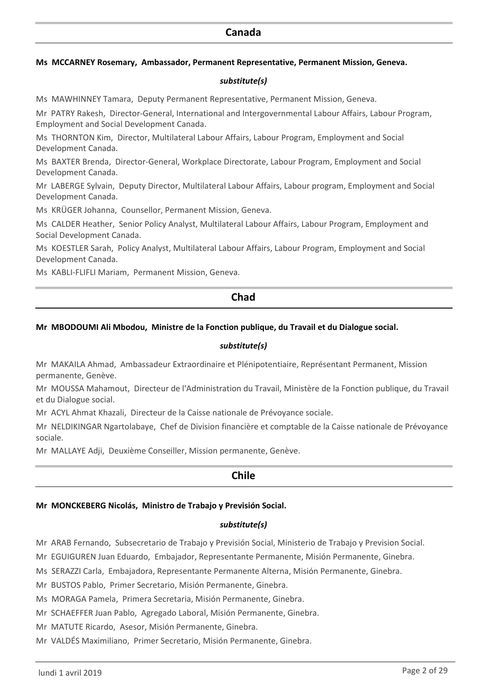## **Canada**

#### **Ms MCCARNEY Rosemary, Ambassador, Permanent Representative, Permanent Mission, Geneva.**

#### *substitute(s)*

Ms MAWHINNEY Tamara, Deputy Permanent Representative, Permanent Mission, Geneva.

Mr PATRY Rakesh, Director-General, International and Intergovernmental Labour Affairs, Labour Program, Employment and Social Development Canada.

Ms THORNTON Kim, Director, Multilateral Labour Affairs, Labour Program, Employment and Social Development Canada.

Ms BAXTER Brenda, Director-General, Workplace Directorate, Labour Program, Employment and Social Development Canada.

Mr LABERGE Sylvain, Deputy Director, Multilateral Labour Affairs, Labour program, Employment and Social Development Canada.

Ms KRÜGER Johanna, Counsellor, Permanent Mission, Geneva.

Ms CALDER Heather, Senior Policy Analyst, Multilateral Labour Affairs, Labour Program, Employment and Social Development Canada.

Ms KOESTLER Sarah, Policy Analyst, Multilateral Labour Affairs, Labour Program, Employment and Social Development Canada.

Ms KABLI-FLIFLI Mariam, Permanent Mission, Geneva.

### **Chad**

#### **Mr MBODOUMI Ali Mbodou, Ministre de la Fonction publique, du Travail et du Dialogue social.**

#### *substitute(s)*

Mr MAKAILA Ahmad, Ambassadeur Extraordinaire et Plénipotentiaire, Représentant Permanent, Mission permanente, Genève.

Mr MOUSSA Mahamout, Directeur de l'Administration du Travail, Ministère de la Fonction publique, du Travail et du Dialogue social.

Mr ACYL Ahmat Khazali, Directeur de la Caisse nationale de Prévoyance sociale.

Mr NELDIKINGAR Ngartolabaye, Chef de Division financière et comptable de la Caisse nationale de Prévoyance sociale.

Mr MALLAYE Adji, Deuxième Conseiller, Mission permanente, Genève.

### **Chile**

#### **Mr MONCKEBERG Nicolás, Ministro de Trabajo y Previsión Social.**

#### *substitute(s)*

Mr ARAB Fernando, Subsecretario de Trabajo y Previsión Social, Ministerio de Trabajo y Prevision Social.

Mr EGUIGUREN Juan Eduardo, Embajador, Representante Permanente, Misión Permanente, Ginebra.

Ms SERAZZI Carla, Embajadora, Representante Permanente Alterna, Misión Permanente, Ginebra.

Mr BUSTOS Pablo, Primer Secretario, Misión Permanente, Ginebra.

Ms MORAGA Pamela, Primera Secretaria, Misión Permanente, Ginebra.

Mr SCHAEFFER Juan Pablo, Agregado Laboral, Misión Permanente, Ginebra.

Mr MATUTE Ricardo, Asesor, Misión Permanente, Ginebra.

Mr VALDÉS Maximiliano, Primer Secretario, Misión Permanente, Ginebra.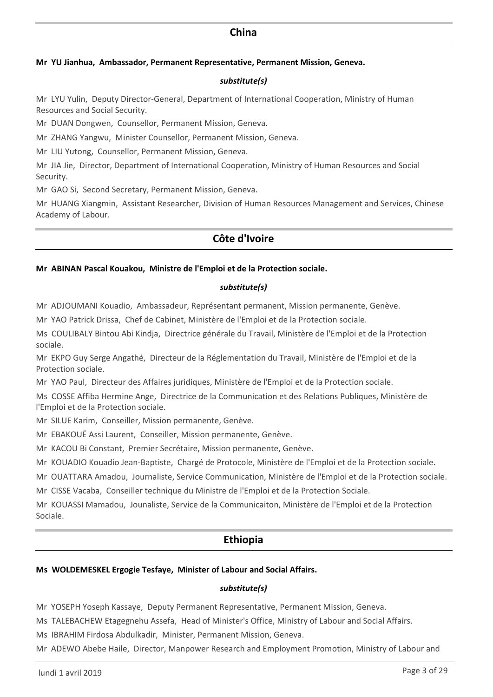### **China**

#### **Mr YU Jianhua, Ambassador, Permanent Representative, Permanent Mission, Geneva.**

#### *substitute(s)*

Mr LYU Yulin, Deputy Director-General, Department of International Cooperation, Ministry of Human Resources and Social Security.

Mr DUAN Dongwen, Counsellor, Permanent Mission, Geneva.

Mr ZHANG Yangwu, Minister Counsellor, Permanent Mission, Geneva.

Mr LIU Yutong, Counsellor, Permanent Mission, Geneva.

Mr JIA Jie, Director, Department of International Cooperation, Ministry of Human Resources and Social Security.

Mr GAO Si, Second Secretary, Permanent Mission, Geneva.

Mr HUANG Xiangmin, Assistant Researcher, Division of Human Resources Management and Services, Chinese Academy of Labour.

## **Côte d'Ivoire**

#### **Mr ABINAN Pascal Kouakou, Ministre de l'Emploi et de la Protection sociale.**

#### *substitute(s)*

Mr ADJOUMANI Kouadio, Ambassadeur, Représentant permanent, Mission permanente, Genève.

Mr YAO Patrick Drissa, Chef de Cabinet, Ministère de l'Emploi et de la Protection sociale.

Ms COULIBALY Bintou Abi Kindja, Directrice générale du Travail, Ministère de l'Emploi et de la Protection sociale.

Mr EKPO Guy Serge Angathé, Directeur de la Réglementation du Travail, Ministère de l'Emploi et de la Protection sociale.

Mr YAO Paul, Directeur des Affaires juridiques, Ministère de l'Emploi et de la Protection sociale.

Ms COSSE Affiba Hermine Ange, Directrice de la Communication et des Relations Publiques, Ministère de l'Emploi et de la Protection sociale.

Mr SILUE Karim, Conseiller, Mission permanente, Genève.

Mr EBAKOUÉ Assi Laurent, Conseiller, Mission permanente, Genève.

Mr KACOU Bi Constant, Premier Secrétaire, Mission permanente, Genève.

Mr KOUADIO Kouadio Jean-Baptiste, Chargé de Protocole, Ministère de l'Emploi et de la Protection sociale.

Mr OUATTARA Amadou, Journaliste, Service Communication, Ministère de l'Emploi et de la Protection sociale.

Mr CISSE Vacaba, Conseiller technique du Ministre de l'Emploi et de la Protection Sociale.

Mr KOUASSI Mamadou, Jounaliste, Service de la Communicaiton, Ministère de l'Emploi et de la Protection Sociale.

## **Ethiopia**

#### **Ms WOLDEMESKEL Ergogie Tesfaye, Minister of Labour and Social Affairs.**

#### *substitute(s)*

Mr YOSEPH Yoseph Kassaye, Deputy Permanent Representative, Permanent Mission, Geneva.

Ms TALEBACHEW Etagegnehu Assefa, Head of Minister's Office, Ministry of Labour and Social Affairs.

Ms IBRAHIM Firdosa Abdulkadir, Minister, Permanent Mission, Geneva.

Mr ADEWO Abebe Haile, Director, Manpower Research and Employment Promotion, Ministry of Labour and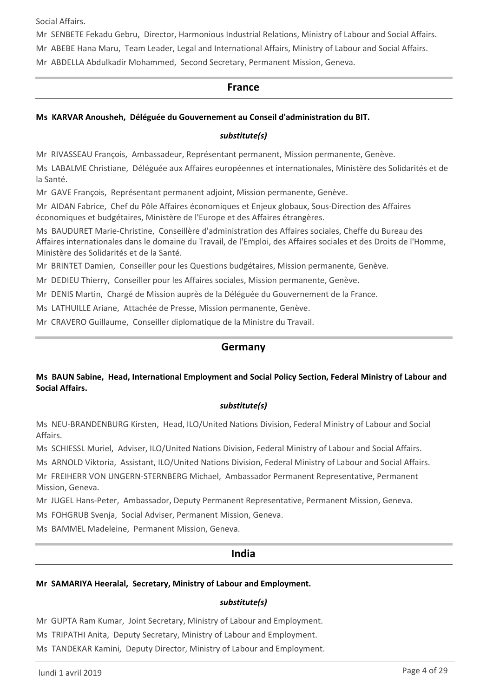Social Affairs.

Mr SENBETE Fekadu Gebru, Director, Harmonious Industrial Relations, Ministry of Labour and Social Affairs.

Mr ABEBE Hana Maru, Team Leader, Legal and International Affairs, Ministry of Labour and Social Affairs.

Mr ABDELLA Abdulkadir Mohammed, Second Secretary, Permanent Mission, Geneva.

#### **France**

### **Ms KARVAR Anousheh, Déléguée du Gouvernement au Conseil d'administration du BIT.**

#### *substitute(s)*

Mr RIVASSEAU François, Ambassadeur, Représentant permanent, Mission permanente, Genève.

Ms LABALME Christiane, Déléguée aux Affaires européennes et internationales, Ministère des Solidarités et de la Santé.

Mr GAVE François, Représentant permanent adjoint, Mission permanente, Genève.

Mr AIDAN Fabrice, Chef du Pôle Affaires économiques et Enjeux globaux, Sous-Direction des Affaires économiques et budgétaires, Ministère de l'Europe et des Affaires étrangères.

Ms BAUDURET Marie-Christine, Conseillère d'administration des Affaires sociales, Cheffe du Bureau des Affaires internationales dans le domaine du Travail, de l'Emploi, des Affaires sociales et des Droits de l'Homme, Ministère des Solidarités et de la Santé.

Mr BRINTET Damien, Conseiller pour les Questions budgétaires, Mission permanente, Genève.

Mr DEDIEU Thierry, Conseiller pour les Affaires sociales, Mission permanente, Genève.

Mr DENIS Martin, Chargé de Mission auprès de la Déléguée du Gouvernement de la France.

Ms LATHUILLE Ariane, Attachée de Presse, Mission permanente, Genève.

Mr CRAVERO Guillaume, Conseiller diplomatique de la Ministre du Travail.

## **Germany**

#### **Ms BAUN Sabine, Head, International Employment and Social Policy Section, Federal Ministry of Labour and Social Affairs.**

#### *substitute(s)*

Ms NEU-BRANDENBURG Kirsten, Head, ILO/United Nations Division, Federal Ministry of Labour and Social Affairs.

Ms SCHIESSL Muriel, Adviser, ILO/United Nations Division, Federal Ministry of Labour and Social Affairs.

Ms ARNOLD Viktoria, Assistant, ILO/United Nations Division, Federal Ministry of Labour and Social Affairs.

Mr FREIHERR VON UNGERN-STERNBERG Michael, Ambassador Permanent Representative, Permanent Mission, Geneva.

Mr JUGEL Hans-Peter, Ambassador, Deputy Permanent Representative, Permanent Mission, Geneva.

Ms FOHGRUB Svenja, Social Adviser, Permanent Mission, Geneva.

Ms BAMMEL Madeleine, Permanent Mission, Geneva.

### **India**

#### **Mr SAMARIYA Heeralal, Secretary, Ministry of Labour and Employment.**

## *substitute(s)*

Mr GUPTA Ram Kumar, Joint Secretary, Ministry of Labour and Employment.

Ms TRIPATHI Anita, Deputy Secretary, Ministry of Labour and Employment.

Ms TANDEKAR Kamini, Deputy Director, Ministry of Labour and Employment.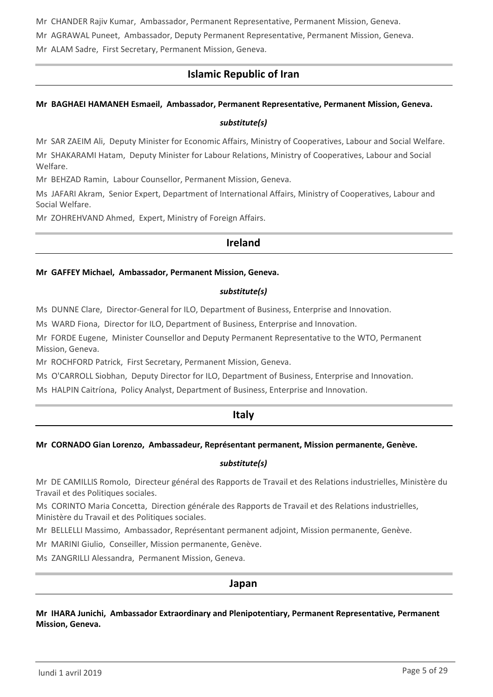Mr CHANDER Rajiv Kumar, Ambassador, Permanent Representative, Permanent Mission, Geneva.

Mr AGRAWAL Puneet, Ambassador, Deputy Permanent Representative, Permanent Mission, Geneva.

Mr ALAM Sadre, First Secretary, Permanent Mission, Geneva.

## **Islamic Republic of Iran**

### **Mr BAGHAEI HAMANEH Esmaeil, Ambassador, Permanent Representative, Permanent Mission, Geneva.**

#### *substitute(s)*

Mr SAR ZAEIM Ali, Deputy Minister for Economic Affairs, Ministry of Cooperatives, Labour and Social Welfare. Mr SHAKARAMI Hatam, Deputy Minister for Labour Relations, Ministry of Cooperatives, Labour and Social Welfare.

Mr BEHZAD Ramin, Labour Counsellor, Permanent Mission, Geneva.

Ms JAFARI Akram, Senior Expert, Department of International Affairs, Ministry of Cooperatives, Labour and Social Welfare.

Mr ZOHREHVAND Ahmed, Expert, Ministry of Foreign Affairs.

### **Ireland**

#### **Mr GAFFEY Michael, Ambassador, Permanent Mission, Geneva.**

#### *substitute(s)*

Ms DUNNE Clare, Director-General for ILO, Department of Business, Enterprise and Innovation.

Ms WARD Fiona, Director for ILO, Department of Business, Enterprise and Innovation.

Mr FORDE Eugene, Minister Counsellor and Deputy Permanent Representative to the WTO, Permanent Mission, Geneva.

Mr ROCHFORD Patrick, First Secretary, Permanent Mission, Geneva.

Ms O'CARROLL Siobhan, Deputy Director for ILO, Department of Business, Enterprise and Innovation.

Ms HALPIN Caitríona, Policy Analyst, Department of Business, Enterprise and Innovation.

## **Italy**

### **Mr CORNADO Gian Lorenzo, Ambassadeur, Représentant permanent, Mission permanente, Genève.**

#### *substitute(s)*

Mr DE CAMILLIS Romolo, Directeur général des Rapports de Travail et des Relations industrielles, Ministère du Travail et des Politiques sociales.

Ms CORINTO Maria Concetta, Direction générale des Rapports de Travail et des Relations industrielles, Ministère du Travail et des Politiques sociales.

Mr BELLELLI Massimo, Ambassador, Représentant permanent adjoint, Mission permanente, Genève.

Mr MARINI Giulio, Conseiller, Mission permanente, Genève.

Ms ZANGRILLI Alessandra, Permanent Mission, Geneva.

### **Japan**

**Mr IHARA Junichi, Ambassador Extraordinary and Plenipotentiary, Permanent Representative, Permanent Mission, Geneva.**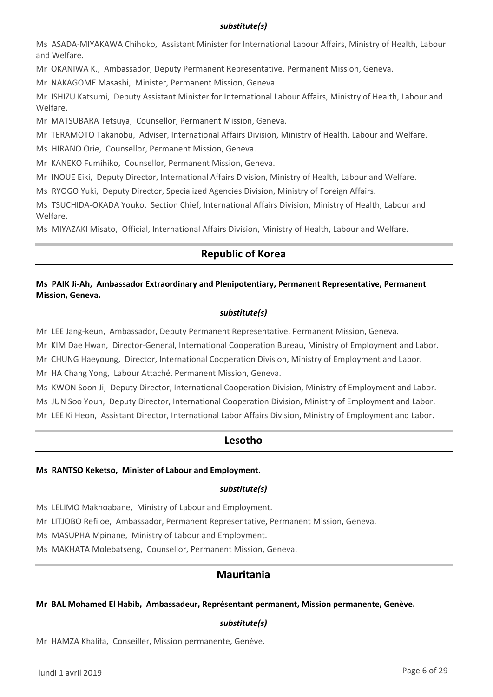#### *substitute(s)*

Ms ASADA-MIYAKAWA Chihoko, Assistant Minister for International Labour Affairs, Ministry of Health, Labour and Welfare.

Mr OKANIWA K., Ambassador, Deputy Permanent Representative, Permanent Mission, Geneva.

Mr NAKAGOME Masashi, Minister, Permanent Mission, Geneva.

Mr ISHIZU Katsumi, Deputy Assistant Minister for International Labour Affairs, Ministry of Health, Labour and Welfare.

Mr MATSUBARA Tetsuya, Counsellor, Permanent Mission, Geneva.

Mr TERAMOTO Takanobu, Adviser, International Affairs Division, Ministry of Health, Labour and Welfare.

Ms HIRANO Orie, Counsellor, Permanent Mission, Geneva.

Mr KANEKO Fumihiko, Counsellor, Permanent Mission, Geneva.

Mr INOUE Eiki, Deputy Director, International Affairs Division, Ministry of Health, Labour and Welfare.

Ms RYOGO Yuki, Deputy Director, Specialized Agencies Division, Ministry of Foreign Affairs.

Ms TSUCHIDA-OKADA Youko, Section Chief, International Affairs Division, Ministry of Health, Labour and Welfare.

Ms MIYAZAKI Misato, Official, International Affairs Division, Ministry of Health, Labour and Welfare.

## **Republic of Korea**

### **Ms PAIK Ji-Ah, Ambassador Extraordinary and Plenipotentiary, Permanent Representative, Permanent Mission, Geneva.**

#### *substitute(s)*

Mr LEE Jang-keun, Ambassador, Deputy Permanent Representative, Permanent Mission, Geneva.

Mr KIM Dae Hwan, Director-General, International Cooperation Bureau, Ministry of Employment and Labor.

Mr CHUNG Haeyoung, Director, International Cooperation Division, Ministry of Employment and Labor.

Mr HA Chang Yong, Labour Attaché, Permanent Mission, Geneva.

Ms KWON Soon Ji, Deputy Director, International Cooperation Division, Ministry of Employment and Labor. Ms JUN Soo Youn, Deputy Director, International Cooperation Division, Ministry of Employment and Labor. Mr LEE Ki Heon, Assistant Director, International Labor Affairs Division, Ministry of Employment and Labor.

## **Lesotho**

#### **Ms RANTSO Keketso, Minister of Labour and Employment.**

#### *substitute(s)*

Ms LELIMO Makhoabane, Ministry of Labour and Employment.

Mr LITJOBO Refiloe, Ambassador, Permanent Representative, Permanent Mission, Geneva.

Ms MASUPHA Mpinane, Ministry of Labour and Employment.

Ms MAKHATA Molebatseng, Counsellor, Permanent Mission, Geneva.

## **Mauritania**

#### **Mr BAL Mohamed El Habib, Ambassadeur, Représentant permanent, Mission permanente, Genève.**

### *substitute(s)*

Mr HAMZA Khalifa, Conseiller, Mission permanente, Genève.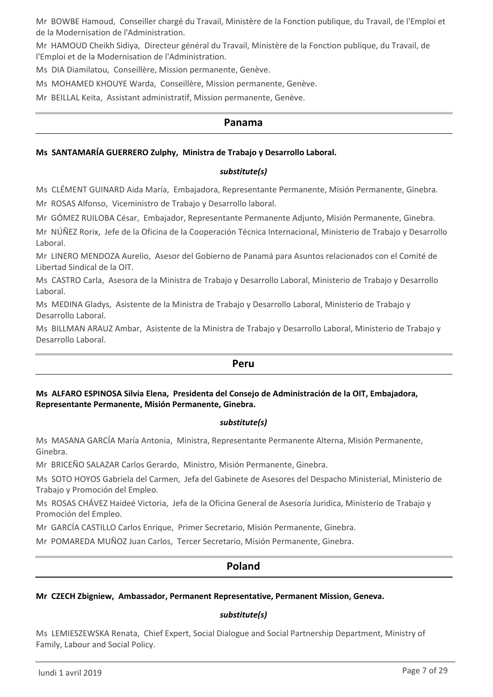Mr BOWBE Hamoud, Conseiller chargé du Travail, Ministère de la Fonction publique, du Travail, de l'Emploi et de la Modernisation de l'Administration.

Mr HAMOUD Cheikh Sidiya, Directeur général du Travail, Ministère de la Fonction publique, du Travail, de l'Emploi et de la Modernisation de l'Administration.

Ms DIA Diamilatou, Conseillère, Mission permanente, Genève.

Ms MOHAMED KHOUYE Warda, Conseillère, Mission permanente, Genève.

Mr BEILLAL Keita, Assistant administratif, Mission permanente, Genève.

### **Panama**

#### **Ms SANTAMARÍA GUERRERO Zulphy, Ministra de Trabajo y Desarrollo Laboral.**

#### *substitute(s)*

Ms CLÉMENT GUINARD Aida María, Embajadora, Representante Permanente, Misión Permanente, Ginebra.

Mr ROSAS Alfonso, Viceministro de Trabajo y Desarrollo laboral.

Mr GÓMEZ RUILOBA César, Embajador, Representante Permanente Adjunto, Misión Permanente, Ginebra.

Mr NÚÑEZ Rorix, Jefe de la Oficina de la Cooperación Técnica Internacional, Ministerio de Trabajo y Desarrollo Laboral.

Mr LINERO MENDOZA Aurelio, Asesor del Gobierno de Panamá para Asuntos relacionados con el Comité de Libertad Sindical de la OIT.

Ms CASTRO Carla, Asesora de la Ministra de Trabajo y Desarrollo Laboral, Ministerio de Trabajo y Desarrollo Laboral.

Ms MEDINA Gladys, Asistente de la Ministra de Trabajo y Desarrollo Laboral, Ministerio de Trabajo y Desarrollo Laboral.

Ms BILLMAN ARAUZ Ambar, Asistente de la Ministra de Trabajo y Desarrollo Laboral, Ministerio de Trabajo y Desarrollo Laboral.

#### **Peru**

#### **Ms ALFARO ESPINOSA Silvia Elena, Presidenta del Consejo de Administración de la OIT, Embajadora, Representante Permanente, Misión Permanente, Ginebra.**

#### *substitute(s)*

Ms MASANA GARCÍA María Antonia, Ministra, Representante Permanente Alterna, Misión Permanente, Ginebra.

Mr BRICEÑO SALAZAR Carlos Gerardo, Ministro, Misión Permanente, Ginebra.

Ms SOTO HOYOS Gabriela del Carmen, Jefa del Gabinete de Asesores del Despacho Ministerial, Ministerio de Trabajo y Promoción del Empleo.

Ms ROSAS CHÁVEZ Haideé Victoria, Jefa de la Oficina General de Asesoría Juridica, Ministerio de Trabajo y Promoción del Empleo.

Mr GARCÍA CASTILLO Carlos Enrique, Primer Secretario, Misión Permanente, Ginebra.

Mr POMAREDA MUÑOZ Juan Carlos, Tercer Secretario, Misión Permanente, Ginebra.

## **Poland**

#### **Mr CZECH Zbigniew, Ambassador, Permanent Representative, Permanent Mission, Geneva.**

#### *substitute(s)*

Ms LEMIESZEWSKA Renata, Chief Expert, Social Dialogue and Social Partnership Department, Ministry of Family, Labour and Social Policy.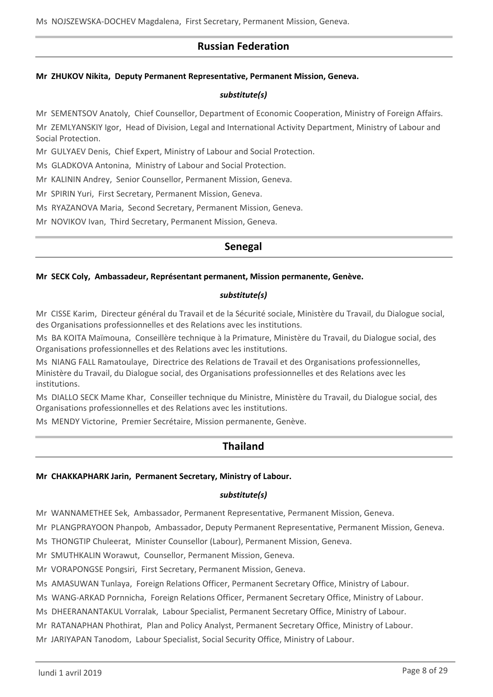## **Russian Federation**

#### **Mr ZHUKOV Nikita, Deputy Permanent Representative, Permanent Mission, Geneva.**

#### *substitute(s)*

Mr SEMENTSOV Anatoly, Chief Counsellor, Department of Economic Cooperation, Ministry of Foreign Affairs. Mr ZEMLYANSKIY Igor, Head of Division, Legal and International Activity Department, Ministry of Labour and Social Protection.

Mr GULYAEV Denis, Chief Expert, Ministry of Labour and Social Protection.

Ms GLADKOVA Antonina, Ministry of Labour and Social Protection.

Mr KALININ Andrey, Senior Counsellor, Permanent Mission, Geneva.

Mr SPIRIN Yuri, First Secretary, Permanent Mission, Geneva.

Ms RYAZANOVA Maria, Second Secretary, Permanent Mission, Geneva.

Mr NOVIKOV Ivan, Third Secretary, Permanent Mission, Geneva.

## **Senegal**

#### **Mr SECK Coly, Ambassadeur, Représentant permanent, Mission permanente, Genève.**

#### *substitute(s)*

Mr CISSE Karim, Directeur général du Travail et de la Sécurité sociale, Ministère du Travail, du Dialogue social, des Organisations professionnelles et des Relations avec les institutions.

Ms BA KOITA Maïmouna, Conseillère technique à la Primature, Ministère du Travail, du Dialogue social, des Organisations professionnelles et des Relations avec les institutions.

Ms NIANG FALL Ramatoulaye, Directrice des Relations de Travail et des Organisations professionnelles, Ministère du Travail, du Dialogue social, des Organisations professionnelles et des Relations avec les institutions.

Ms DIALLO SECK Mame Khar, Conseiller technique du Ministre, Ministère du Travail, du Dialogue social, des Organisations professionnelles et des Relations avec les institutions.

Ms MENDY Victorine, Premier Secrétaire, Mission permanente, Genève.

## **Thailand**

#### **Mr CHAKKAPHARK Jarin, Permanent Secretary, Ministry of Labour.**

#### *substitute(s)*

Mr WANNAMETHEE Sek, Ambassador, Permanent Representative, Permanent Mission, Geneva.

Mr PLANGPRAYOON Phanpob, Ambassador, Deputy Permanent Representative, Permanent Mission, Geneva.

Ms THONGTIP Chuleerat, Minister Counsellor (Labour), Permanent Mission, Geneva.

Mr SMUTHKALIN Worawut, Counsellor, Permanent Mission, Geneva.

Mr VORAPONGSE Pongsiri, First Secretary, Permanent Mission, Geneva.

Ms AMASUWAN Tunlaya, Foreign Relations Officer, Permanent Secretary Office, Ministry of Labour.

Ms WANG-ARKAD Pornnicha, Foreign Relations Officer, Permanent Secretary Office, Ministry of Labour.

Ms DHEERANANTAKUL Vorralak, Labour Specialist, Permanent Secretary Office, Ministry of Labour.

Mr RATANAPHAN Phothirat, Plan and Policy Analyst, Permanent Secretary Office, Ministry of Labour.

Mr JARIYAPAN Tanodom, Labour Specialist, Social Security Office, Ministry of Labour.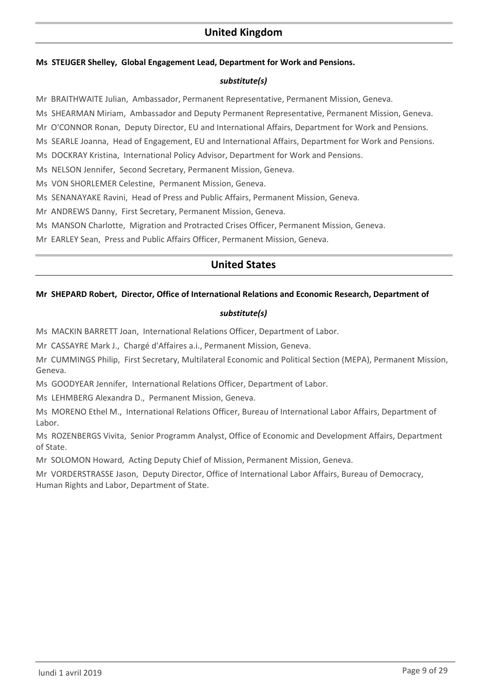## **United Kingdom**

#### **Ms STEIJGER Shelley, Global Engagement Lead, Department for Work and Pensions.**

#### *substitute(s)*

Mr BRAITHWAITE Julian, Ambassador, Permanent Representative, Permanent Mission, Geneva.

Ms SHEARMAN Miriam, Ambassador and Deputy Permanent Representative, Permanent Mission, Geneva.

Mr O'CONNOR Ronan, Deputy Director, EU and International Affairs, Department for Work and Pensions.

Ms SEARLE Joanna, Head of Engagement, EU and International Affairs, Department for Work and Pensions.

Ms DOCKRAY Kristina, International Policy Advisor, Department for Work and Pensions.

Ms NELSON Jennifer, Second Secretary, Permanent Mission, Geneva.

Ms VON SHORLEMER Celestine, Permanent Mission, Geneva.

Ms SENANAYAKE Ravini, Head of Press and Public Affairs, Permanent Mission, Geneva.

Mr ANDREWS Danny, First Secretary, Permanent Mission, Geneva.

Ms MANSON Charlotte, Migration and Protracted Crises Officer, Permanent Mission, Geneva.

Mr EARLEY Sean, Press and Public Affairs Officer, Permanent Mission, Geneva.

## **United States**

#### **Mr SHEPARD Robert, Director, Office of International Relations and Economic Research, Department of**

#### *substitute(s)*

Ms MACKIN BARRETT Joan, International Relations Officer, Department of Labor.

Mr CASSAYRE Mark J., Chargé d'Affaires a.i., Permanent Mission, Geneva.

Mr CUMMINGS Philip, First Secretary, Multilateral Economic and Political Section (MEPA), Permanent Mission, Geneva.

Ms GOODYEAR Jennifer, International Relations Officer, Department of Labor.

Ms LEHMBERG Alexandra D., Permanent Mission, Geneva.

Ms MORENO Ethel M., International Relations Officer, Bureau of International Labor Affairs, Department of Labor.

Ms ROZENBERGS Vivita, Senior Programm Analyst, Office of Economic and Development Affairs, Department of State.

Mr SOLOMON Howard, Acting Deputy Chief of Mission, Permanent Mission, Geneva.

Mr VORDERSTRASSE Jason, Deputy Director, Office of International Labor Affairs, Bureau of Democracy, Human Rights and Labor, Department of State.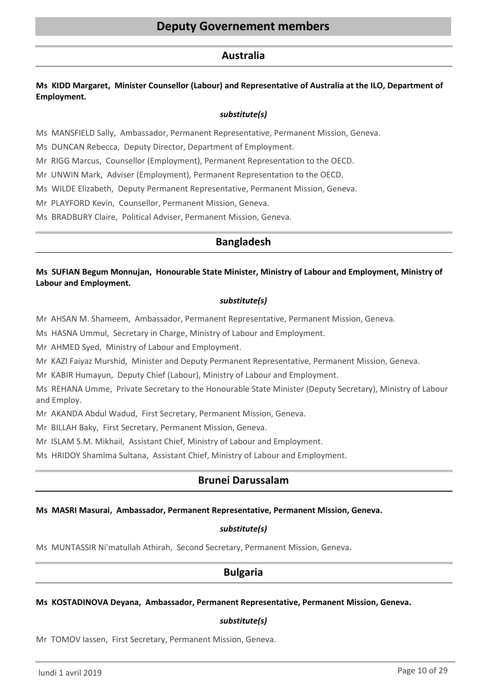### **Australia**

### **Ms KIDD Margaret, Minister Counsellor (Labour) and Representative of Australia at the ILO, Department of Employment.**

#### *substitute(s)*

Ms MANSFIELD Sally, Ambassador, Permanent Representative, Permanent Mission, Geneva.

Ms DUNCAN Rebecca, Deputy Director, Department of Employment.

Mr RIGG Marcus, Counsellor (Employment), Permanent Representation to the OECD.

Mr UNWIN Mark, Adviser (Employment), Permanent Representation to the OECD.

Ms WILDE Elizabeth, Deputy Permanent Representative, Permanent Mission, Geneva.

Mr PLAYFORD Kevin, Counsellor, Permanent Mission, Geneva.

Ms BRADBURY Claire, Political Adviser, Permanent Mission, Geneva.

### **Bangladesh**

### **Ms SUFIAN Begum Monnujan, Honourable State Minister, Ministry of Labour and Employment, Ministry of Labour and Employment.**

#### *substitute(s)*

Mr AHSAN M. Shameem, Ambassador, Permanent Representative, Permanent Mission, Geneva.

Ms HASNA Ummul, Secretary in Charge, Ministry of Labour and Employment.

Mr AHMED Syed, Ministry of Labour and Employment.

Mr KAZI Faiyaz Murshid, Minister and Deputy Permanent Representative, Permanent Mission, Geneva.

Mr KABIR Humayun, Deputy Chief (Labour), Ministry of Labour and Employment.

Ms REHANA Umme, Private Secretary to the Honourable State Minister (Deputy Secretary), Ministry of Labour and Employ.

Mr AKANDA Abdul Wadud, First Secretary, Permanent Mission, Geneva.

Mr BILLAH Baky, First Secretary, Permanent Mission, Geneva.

Mr ISLAM S.M. Mikhail, Assistant Chief, Ministry of Labour and Employment.

Ms HRIDOY Shamima Sultana, Assistant Chief, Ministry of Labour and Employment.

## **Brunei Darussalam**

#### **Ms MASRI Masurai, Ambassador, Permanent Representative, Permanent Mission, Geneva.**

#### *substitute(s)*

Ms MUNTASSIR Ni'matullah Athirah, Second Secretary, Permanent Mission, Geneva.

## **Bulgaria**

#### **Ms KOSTADINOVA Deyana, Ambassador, Permanent Representative, Permanent Mission, Geneva.**

#### *substitute(s)*

Mr TOMOV Iassen, First Secretary, Permanent Mission, Geneva.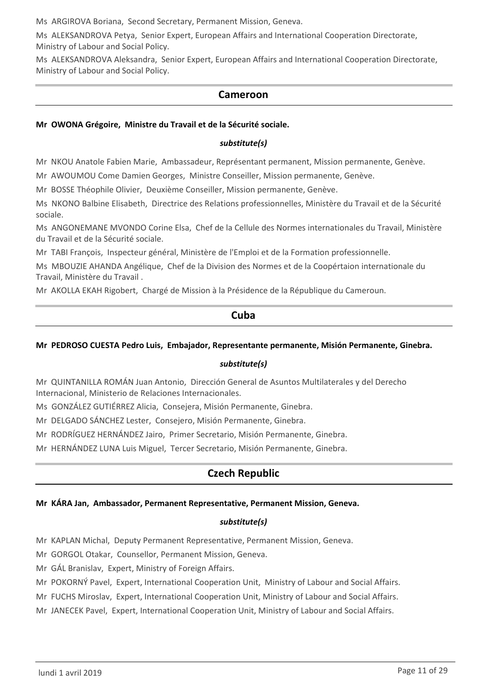Ms ARGIROVA Boriana, Second Secretary, Permanent Mission, Geneva.

Ms ALEKSANDROVA Petya, Senior Expert, European Affairs and International Cooperation Directorate, Ministry of Labour and Social Policy.

Ms ALEKSANDROVA Aleksandra, Senior Expert, European Affairs and International Cooperation Directorate, Ministry of Labour and Social Policy.

## **Cameroon**

#### **Mr OWONA Grégoire, Ministre du Travail et de la Sécurité sociale.**

#### *substitute(s)*

Mr NKOU Anatole Fabien Marie, Ambassadeur, Représentant permanent, Mission permanente, Genève.

Mr AWOUMOU Come Damien Georges, Ministre Conseiller, Mission permanente, Genève.

Mr BOSSE Théophile Olivier, Deuxième Conseiller, Mission permanente, Genève.

Ms NKONO Balbine Elisabeth, Directrice des Relations professionnelles, Ministère du Travail et de la Sécurité sociale.

Ms ANGONEMANE MVONDO Corine Elsa, Chef de la Cellule des Normes internationales du Travail, Ministère du Travail et de la Sécurité sociale.

Mr TABI François, Inspecteur général, Ministère de l'Emploi et de la Formation professionnelle.

Ms MBOUZIE AHANDA Angélique, Chef de la Division des Normes et de la Coopértaion internationale du Travail, Ministère du Travail .

Mr AKOLLA EKAH Rigobert, Chargé de Mission à la Présidence de la République du Cameroun.

### **Cuba**

#### **Mr PEDROSO CUESTA Pedro Luis, Embajador, Representante permanente, Misión Permanente, Ginebra.**

#### *substitute(s)*

Mr QUINTANILLA ROMÁN Juan Antonio, Dirección General de Asuntos Multilaterales y del Derecho Internacional, Ministerio de Relaciones Internacionales.

Ms GONZÁLEZ GUTIÉRREZ Alicia, Consejera, Misión Permanente, Ginebra.

Mr DELGADO SÁNCHEZ Lester, Consejero, Misión Permanente, Ginebra.

Mr RODRÍGUEZ HERNÁNDEZ Jairo, Primer Secretario, Misión Permanente, Ginebra.

Mr HERNÁNDEZ LUNA Luis Miguel, Tercer Secretario, Misión Permanente, Ginebra.

## **Czech Republic**

#### **Mr KÁRA Jan, Ambassador, Permanent Representative, Permanent Mission, Geneva.**

#### *substitute(s)*

Mr KAPLAN Michal, Deputy Permanent Representative, Permanent Mission, Geneva.

Mr GORGOL Otakar, Counsellor, Permanent Mission, Geneva.

Mr GÁL Branislav, Expert, Ministry of Foreign Affairs.

Mr POKORNÝ Pavel, Expert, International Cooperation Unit, Ministry of Labour and Social Affairs.

Mr FUCHS Miroslav, Expert, International Cooperation Unit, Ministry of Labour and Social Affairs.

Mr JANECEK Pavel, Expert, International Cooperation Unit, Ministry of Labour and Social Affairs.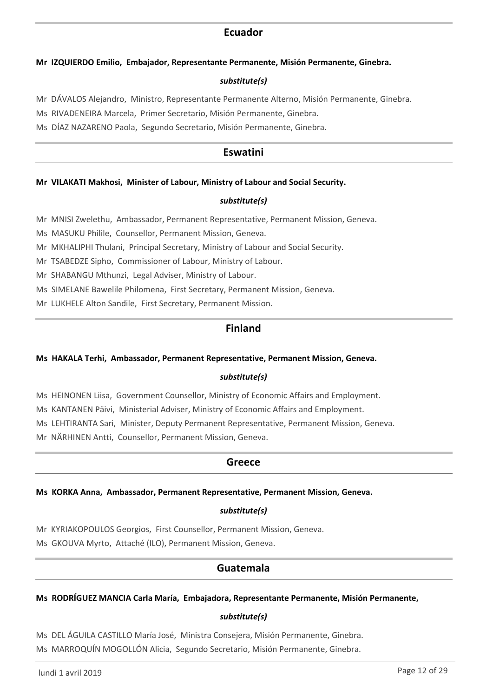### **Ecuador**

#### **Mr IZQUIERDO Emilio, Embajador, Representante Permanente, Misión Permanente, Ginebra.**

#### *substitute(s)*

Mr DÁVALOS Alejandro, Ministro, Representante Permanente Alterno, Misión Permanente, Ginebra.

Ms RIVADENEIRA Marcela, Primer Secretario, Misión Permanente, Ginebra.

Ms DÍAZ NAZARENO Paola, Segundo Secretario, Misión Permanente, Ginebra.

## **Eswatini**

#### **Mr VILAKATI Makhosi, Minister of Labour, Ministry of Labour and Social Security.**

#### *substitute(s)*

Mr MNISI Zwelethu, Ambassador, Permanent Representative, Permanent Mission, Geneva.

Ms MASUKU Philile, Counsellor, Permanent Mission, Geneva.

Mr MKHALIPHI Thulani, Principal Secretary, Ministry of Labour and Social Security.

Mr TSABEDZE Sipho, Commissioner of Labour, Ministry of Labour.

Mr SHABANGU Mthunzi, Legal Adviser, Ministry of Labour.

Ms SIMELANE Bawelile Philomena, First Secretary, Permanent Mission, Geneva.

Mr LUKHELE Alton Sandile, First Secretary, Permanent Mission.

## **Finland**

#### **Ms HAKALA Terhi, Ambassador, Permanent Representative, Permanent Mission, Geneva.**

#### *substitute(s)*

Ms HEINONEN Liisa, Government Counsellor, Ministry of Economic Affairs and Employment.

Ms KANTANEN Päivi, Ministerial Adviser, Ministry of Economic Affairs and Employment.

Ms LEHTIRANTA Sari, Minister, Deputy Permanent Representative, Permanent Mission, Geneva.

Mr NÄRHINEN Antti, Counsellor, Permanent Mission, Geneva.

### **Greece**

#### **Ms KORKA Anna, Ambassador, Permanent Representative, Permanent Mission, Geneva.**

#### *substitute(s)*

Mr KYRIAKOPOULOS Georgios, First Counsellor, Permanent Mission, Geneva. Ms GKOUVA Myrto, Attaché (ILO), Permanent Mission, Geneva.

## **Guatemala**

#### **Ms RODRÍGUEZ MANCIA Carla María, Embajadora, Representante Permanente, Misión Permanente,**

#### *substitute(s)*

Ms DEL ÁGUILA CASTILLO María José, Ministra Consejera, Misión Permanente, Ginebra.

Ms MARROQUÍN MOGOLLÓN Alicia, Segundo Secretario, Misión Permanente, Ginebra.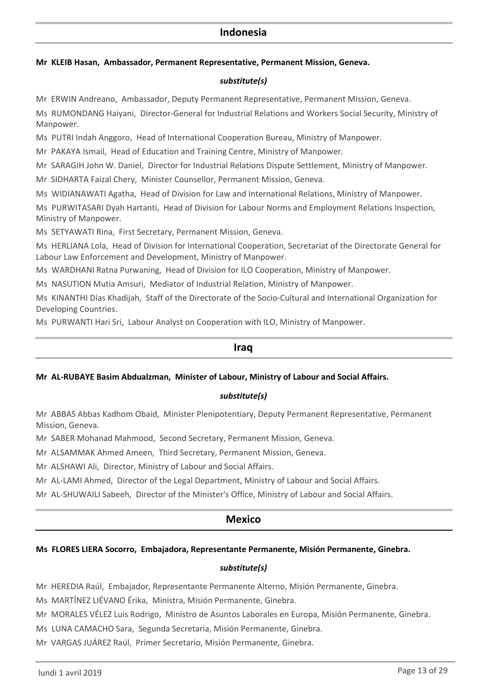## **Indonesia**

#### **Mr KLEIB Hasan, Ambassador, Permanent Representative, Permanent Mission, Geneva.**

#### *substitute(s)*

Mr ERWIN Andreano, Ambassador, Deputy Permanent Representative, Permanent Mission, Geneva. Ms RUMONDANG Haiyani, Director-General for Industrial Relations and Workers Social Security, Ministry of Manpower.

Ms PUTRI Indah Anggoro, Head of International Cooperation Bureau, Ministry of Manpower.

Mr PAKAYA Ismail, Head of Education and Training Centre, Ministry of Manpower.

Mr SARAGIH John W. Daniel, Director for Industrial Relations Dispute Settlement, Ministry of Manpower.

Mr SIDHARTA Faizal Chery, Minister Counsellor, Permanent Mission, Geneva.

Ms WIDIANAWATI Agatha, Head of Division for Law and International Relations, Ministry of Manpower.

Ms PURWITASARI Dyah Hartanti, Head of Division for Labour Norms and Employment Relations Inspection, Ministry of Manpower.

Ms SETYAWATI Rina, First Secretary, Permanent Mission, Geneva.

Ms HERLIANA Lola, Head of Division for International Cooperation, Secretariat of the Directorate General for Labour Law Enforcement and Development, Ministry of Manpower.

Ms WARDHANI Ratna Purwaning, Head of Division for ILO Cooperation, Ministry of Manpower.

Ms NASUTION Mutia Amsuri, Mediator of Industrial Relation, Ministry of Manpower.

Ms KINANTHI Dias Khadijah, Staff of the Directorate of the Socio-Cultural and International Organization for Developing Countries.

Ms PURWANTI Hari Sri, Labour Analyst on Cooperation with ILO, Ministry of Manpower.

### **Iraq**

#### **Mr AL-RUBAYE Basim Abdualzman, Minister of Labour, Ministry of Labour and Social Affairs.**

#### *substitute(s)*

Mr ABBAS Abbas Kadhom Obaid, Minister Plenipotentiary, Deputy Permanent Representative, Permanent Mission, Geneva.

Mr SABER Mohanad Mahmood, Second Secretary, Permanent Mission, Geneva.

Mr ALSAMMAK Ahmed Ameen, Third Secretary, Permanent Mission, Geneva.

Mr ALSHAWI Ali, Director, Ministry of Labour and Social Affairs.

Mr AL-LAMI Ahmed, Director of the Legal Department, Ministry of Labour and Social Affairs.

Mr AL-SHUWAILI Sabeeh, Director of the Minister's Office, Ministry of Labour and Social Affairs.

### **Mexico**

#### **Ms FLORES LIERA Socorro, Embajadora, Representante Permanente, Misión Permanente, Ginebra.**

#### *substitute(s)*

Mr HEREDIA Raúl, Embajador, Representante Permanente Alterno, Misión Permanente, Ginebra.

Ms MARTÍNEZ LIÉVANO Érika, Ministra, Misión Permanente, Ginebra.

Mr MORALES VÉLEZ Luis Rodrigo, Ministro de Asuntos Laborales en Europa, Misión Permanente, Ginebra.

Ms LUNA CAMACHO Sara, Segunda Secretaria, Misión Permanente, Ginebra.

Mr VARGAS JUÁREZ Raúl, Primer Secretario, Misión Permanente, Ginebra.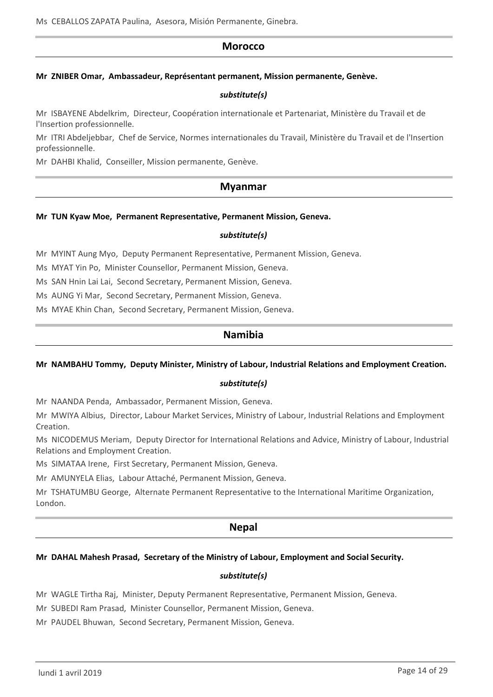### **Morocco**

#### **Mr ZNIBER Omar, Ambassadeur, Représentant permanent, Mission permanente, Genève.**

#### *substitute(s)*

Mr ISBAYENE Abdelkrim, Directeur, Coopération internationale et Partenariat, Ministère du Travail et de l'Insertion professionnelle.

Mr ITRI Abdeljebbar, Chef de Service, Normes internationales du Travail, Ministère du Travail et de l'Insertion professionnelle.

Mr DAHBI Khalid, Conseiller, Mission permanente, Genève.

### **Myanmar**

#### **Mr TUN Kyaw Moe, Permanent Representative, Permanent Mission, Geneva.**

#### *substitute(s)*

Mr MYINT Aung Myo, Deputy Permanent Representative, Permanent Mission, Geneva.

Ms MYAT Yin Po, Minister Counsellor, Permanent Mission, Geneva.

Ms SAN Hnin Lai Lai, Second Secretary, Permanent Mission, Geneva.

Ms AUNG Yi Mar, Second Secretary, Permanent Mission, Geneva.

Ms MYAE Khin Chan, Second Secretary, Permanent Mission, Geneva.

## **Namibia**

#### **Mr NAMBAHU Tommy, Deputy Minister, Ministry of Labour, Industrial Relations and Employment Creation.**

#### *substitute(s)*

Mr NAANDA Penda, Ambassador, Permanent Mission, Geneva.

Mr MWIYA Albius, Director, Labour Market Services, Ministry of Labour, Industrial Relations and Employment Creation.

Ms NICODEMUS Meriam, Deputy Director for International Relations and Advice, Ministry of Labour, Industrial Relations and Employment Creation.

Ms SIMATAA Irene, First Secretary, Permanent Mission, Geneva.

Mr AMUNYELA Elias, Labour Attaché, Permanent Mission, Geneva.

Mr TSHATUMBU George, Alternate Permanent Representative to the International Maritime Organization, London.

## **Nepal**

#### **Mr DAHAL Mahesh Prasad, Secretary of the Ministry of Labour, Employment and Social Security.**

#### *substitute(s)*

Mr WAGLE Tirtha Raj, Minister, Deputy Permanent Representative, Permanent Mission, Geneva.

Mr SUBEDI Ram Prasad, Minister Counsellor, Permanent Mission, Geneva.

Mr PAUDEL Bhuwan, Second Secretary, Permanent Mission, Geneva.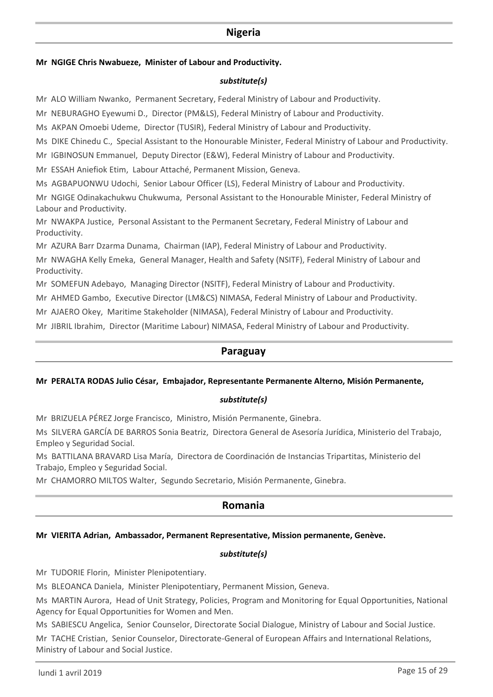## **Nigeria**

#### **Mr NGIGE Chris Nwabueze, Minister of Labour and Productivity.**

#### *substitute(s)*

Mr ALO William Nwanko, Permanent Secretary, Federal Ministry of Labour and Productivity.

Mr NEBURAGHO Eyewumi D., Director (PM&LS), Federal Ministry of Labour and Productivity.

Ms AKPAN Omoebi Udeme, Director (TUSIR), Federal Ministry of Labour and Productivity.

Ms DIKE Chinedu C., Special Assistant to the Honourable Minister, Federal Ministry of Labour and Productivity.

Mr IGBINOSUN Emmanuel, Deputy Director (E&W), Federal Ministry of Labour and Productivity.

Mr ESSAH Aniefiok Etim, Labour Attaché, Permanent Mission, Geneva.

Ms AGBAPUONWU Udochi, Senior Labour Officer (LS), Federal Ministry of Labour and Productivity.

Mr NGIGE Odinakachukwu Chukwuma, Personal Assistant to the Honourable Minister, Federal Ministry of Labour and Productivity.

Mr NWAKPA Justice, Personal Assistant to the Permanent Secretary, Federal Ministry of Labour and Productivity.

Mr AZURA Barr Dzarma Dunama, Chairman (IAP), Federal Ministry of Labour and Productivity.

Mr NWAGHA Kelly Emeka, General Manager, Health and Safety (NSITF), Federal Ministry of Labour and Productivity.

Mr SOMEFUN Adebayo, Managing Director (NSITF), Federal Ministry of Labour and Productivity.

Mr AHMED Gambo, Executive Director (LM&CS) NIMASA, Federal Ministry of Labour and Productivity.

Mr AJAERO Okey, Maritime Stakeholder (NIMASA), Federal Ministry of Labour and Productivity.

Mr JIBRIL Ibrahim, Director (Maritime Labour) NIMASA, Federal Ministry of Labour and Productivity.

## **Paraguay**

#### **Mr PERALTA RODAS Julio César, Embajador, Representante Permanente Alterno, Misión Permanente,**

#### *substitute(s)*

Mr BRIZUELA PÉREZ Jorge Francisco, Ministro, Misión Permanente, Ginebra.

Ms SILVERA GARCÍA DE BARROS Sonia Beatriz, Directora General de Asesoría Jurídica, Ministerio del Trabajo, Empleo y Seguridad Social.

Ms BATTILANA BRAVARD Lisa María, Directora de Coordinación de Instancias Tripartitas, Ministerio del Trabajo, Empleo y Seguridad Social.

Mr CHAMORRO MILTOS Walter, Segundo Secretario, Misión Permanente, Ginebra.

## **Romania**

### **Mr VIERITA Adrian, Ambassador, Permanent Representative, Mission permanente, Genève.**

#### *substitute(s)*

Mr TUDORIE Florin, Minister Plenipotentiary.

Ms BLEOANCA Daniela, Minister Plenipotentiary, Permanent Mission, Geneva.

Ms MARTIN Aurora, Head of Unit Strategy, Policies, Program and Monitoring for Equal Opportunities, National Agency for Equal Opportunities for Women and Men.

Ms SABIESCU Angelica, Senior Counselor, Directorate Social Dialogue, Ministry of Labour and Social Justice.

Mr TACHE Cristian, Senior Counselor, Directorate-General of European Affairs and International Relations, Ministry of Labour and Social Justice.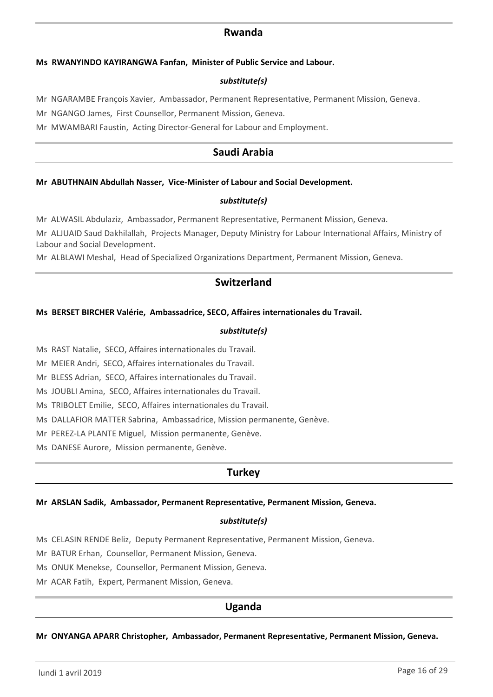### **Rwanda**

#### **Ms RWANYINDO KAYIRANGWA Fanfan, Minister of Public Service and Labour.**

#### *substitute(s)*

Mr NGARAMBE François Xavier, Ambassador, Permanent Representative, Permanent Mission, Geneva.

Mr NGANGO James, First Counsellor, Permanent Mission, Geneva.

Mr MWAMBARI Faustin, Acting Director-General for Labour and Employment.

## **Saudi Arabia**

#### **Mr ABUTHNAIN Abdullah Nasser, Vice-Minister of Labour and Social Development.**

#### *substitute(s)*

Mr ALWASIL Abdulaziz, Ambassador, Permanent Representative, Permanent Mission, Geneva.

Mr ALJUAID Saud Dakhilallah, Projects Manager, Deputy Ministry for Labour International Affairs, Ministry of Labour and Social Development.

Mr ALBLAWI Meshal, Head of Specialized Organizations Department, Permanent Mission, Geneva.

## **Switzerland**

#### **Ms BERSET BIRCHER Valérie, Ambassadrice, SECO, Affaires internationales du Travail.**

#### *substitute(s)*

Ms RAST Natalie, SECO, Affaires internationales du Travail.

Mr MEIER Andri, SECO, Affaires internationales du Travail.

Mr BLESS Adrian, SECO, Affaires internationales du Travail.

Ms JOUBLI Amina, SECO, Affaires internationales du Travail.

Ms TRIBOLET Emilie, SECO, Affaires internationales du Travail.

Ms DALLAFIOR MATTER Sabrina, Ambassadrice, Mission permanente, Genève.

Mr PEREZ-LA PLANTE Miguel, Mission permanente, Genève.

Ms DANESE Aurore, Mission permanente, Genève.

## **Turkey**

#### **Mr ARSLAN Sadik, Ambassador, Permanent Representative, Permanent Mission, Geneva.**

#### *substitute(s)*

Ms CELASIN RENDE Beliz, Deputy Permanent Representative, Permanent Mission, Geneva.

Mr BATUR Erhan, Counsellor, Permanent Mission, Geneva.

Ms ONUK Menekse, Counsellor, Permanent Mission, Geneva.

Mr ACAR Fatih, Expert, Permanent Mission, Geneva.

## **Uganda**

**Mr ONYANGA APARR Christopher, Ambassador, Permanent Representative, Permanent Mission, Geneva.**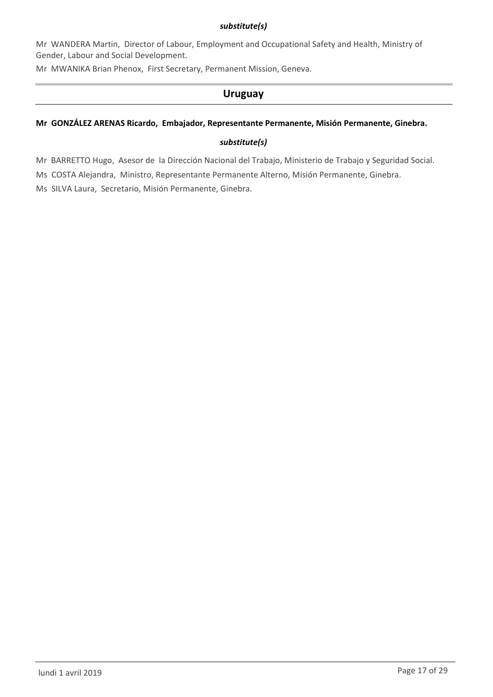### *substitute(s)*

Mr WANDERA Martin, Director of Labour, Employment and Occupational Safety and Health, Ministry of Gender, Labour and Social Development.

Mr MWANIKA Brian Phenox, First Secretary, Permanent Mission, Geneva.

## **Uruguay**

### **Mr GONZÁLEZ ARENAS Ricardo, Embajador, Representante Permanente, Misión Permanente, Ginebra.**

### *substitute(s)*

Mr BARRETTO Hugo, Asesor de la Dirección Nacional del Trabajo, Ministerio de Trabajo y Seguridad Social.

Ms COSTA Alejandra, Ministro, Representante Permanente Alterno, Misión Permanente, Ginebra.

Ms SILVA Laura, Secretario, Misión Permanente, Ginebra.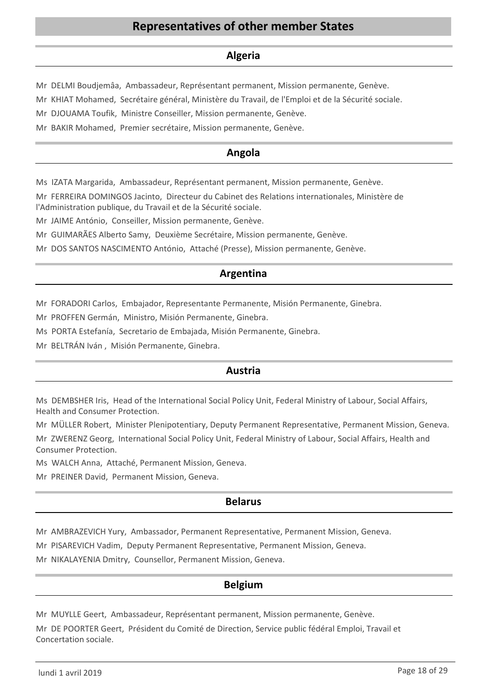## **Representatives of other member States**

## **Algeria**

Mr DELMI Boudjemâa, Ambassadeur, Représentant permanent, Mission permanente, Genève.

Mr KHIAT Mohamed, Secrétaire général, Ministère du Travail, de l'Emploi et de la Sécurité sociale.

Mr DJOUAMA Toufik, Ministre Conseiller, Mission permanente, Genève.

Mr BAKIR Mohamed, Premier secrétaire, Mission permanente, Genève.

## **Angola**

Ms IZATA Margarida, Ambassadeur, Représentant permanent, Mission permanente, Genève.

Mr FERREIRA DOMINGOS Jacinto, Directeur du Cabinet des Relations internationales, Ministère de l'Administration publique, du Travail et de la Sécurité sociale.

Mr JAIME António, Conseiller, Mission permanente, Genève.

Mr GUIMARÃES Alberto Samy, Deuxième Secrétaire, Mission permanente, Genève.

Mr DOS SANTOS NASCIMENTO António, Attaché (Presse), Mission permanente, Genève.

## **Argentina**

Mr FORADORI Carlos, Embajador, Representante Permanente, Misión Permanente, Ginebra.

Mr PROFFEN Germán, Ministro, Misión Permanente, Ginebra.

Ms PORTA Estefanía, Secretario de Embajada, Misión Permanente, Ginebra.

Mr BELTRÁN Iván , Misión Permanente, Ginebra.

## **Austria**

Ms DEMBSHER Iris, Head of the International Social Policy Unit, Federal Ministry of Labour, Social Affairs, Health and Consumer Protection.

Mr MÜLLER Robert, Minister Plenipotentiary, Deputy Permanent Representative, Permanent Mission, Geneva.

Mr ZWERENZ Georg, International Social Policy Unit, Federal Ministry of Labour, Social Affairs, Health and Consumer Protection.

Ms WALCH Anna, Attaché, Permanent Mission, Geneva.

Mr PREINER David, Permanent Mission, Geneva.

## **Belarus**

Mr AMBRAZEVICH Yury, Ambassador, Permanent Representative, Permanent Mission, Geneva.

Mr PISAREVICH Vadim, Deputy Permanent Representative, Permanent Mission, Geneva.

Mr NIKALAYENIA Dmitry, Counsellor, Permanent Mission, Geneva.

## **Belgium**

Mr MUYLLE Geert, Ambassadeur, Représentant permanent, Mission permanente, Genève. Mr DE POORTER Geert, Président du Comité de Direction, Service public fédéral Emploi, Travail et Concertation sociale.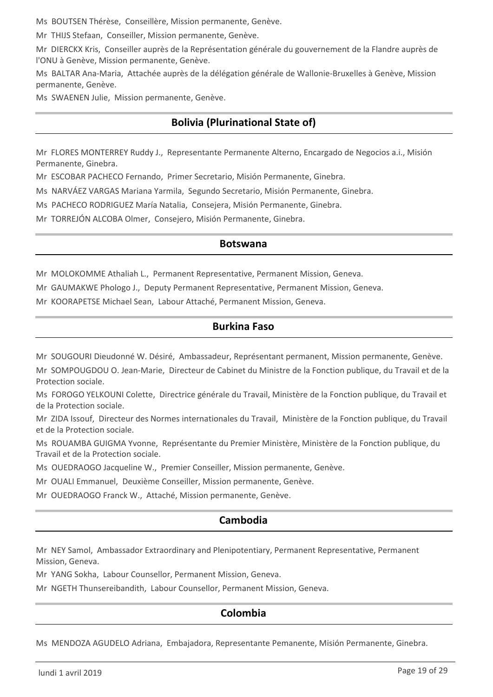Ms BOUTSEN Thérèse, Conseillère, Mission permanente, Genève.

Mr THIJS Stefaan, Conseiller, Mission permanente, Genève.

Mr DIERCKX Kris, Conseiller auprès de la Représentation générale du gouvernement de la Flandre auprès de l'ONU à Genève, Mission permanente, Genève.

Ms BALTAR Ana-Maria, Attachée auprès de la délégation générale de Wallonie-Bruxelles à Genève, Mission permanente, Genève.

Ms SWAENEN Julie, Mission permanente, Genève.

## **Bolivia (Plurinational State of)**

Mr FLORES MONTERREY Ruddy J., Representante Permanente Alterno, Encargado de Negocios a.i., Misión Permanente, Ginebra.

Mr ESCOBAR PACHECO Fernando, Primer Secretario, Misión Permanente, Ginebra.

Ms NARVÁEZ VARGAS Mariana Yarmila, Segundo Secretario, Misión Permanente, Ginebra.

Ms PACHECO RODRIGUEZ María Natalia, Consejera, Misión Permanente, Ginebra.

Mr TORREJÓN ALCOBA Olmer, Consejero, Misión Permanente, Ginebra.

### **Botswana**

Mr MOLOKOMME Athaliah L., Permanent Representative, Permanent Mission, Geneva.

Mr GAUMAKWE Phologo J., Deputy Permanent Representative, Permanent Mission, Geneva.

Mr KOORAPETSE Michael Sean, Labour Attaché, Permanent Mission, Geneva.

## **Burkina Faso**

Mr SOUGOURI Dieudonné W. Désiré, Ambassadeur, Représentant permanent, Mission permanente, Genève.

Mr SOMPOUGDOU O. Jean-Marie, Directeur de Cabinet du Ministre de la Fonction publique, du Travail et de la Protection sociale.

Ms FOROGO YELKOUNI Colette, Directrice générale du Travail, Ministère de la Fonction publique, du Travail et de la Protection sociale.

Mr ZIDA Issouf, Directeur des Normes internationales du Travail, Ministère de la Fonction publique, du Travail et de la Protection sociale.

Ms ROUAMBA GUIGMA Yvonne, Représentante du Premier Ministère, Ministère de la Fonction publique, du Travail et de la Protection sociale.

Ms OUEDRAOGO Jacqueline W., Premier Conseiller, Mission permanente, Genève.

Mr OUALI Emmanuel, Deuxième Conseiller, Mission permanente, Genève.

Mr OUEDRAOGO Franck W., Attaché, Mission permanente, Genève.

## **Cambodia**

Mr NEY Samol, Ambassador Extraordinary and Plenipotentiary, Permanent Representative, Permanent Mission, Geneva.

Mr YANG Sokha, Labour Counsellor, Permanent Mission, Geneva.

Mr NGETH Thunsereibandith, Labour Counsellor, Permanent Mission, Geneva.

## **Colombia**

Ms MENDOZA AGUDELO Adriana, Embajadora, Representante Pemanente, Misión Permanente, Ginebra.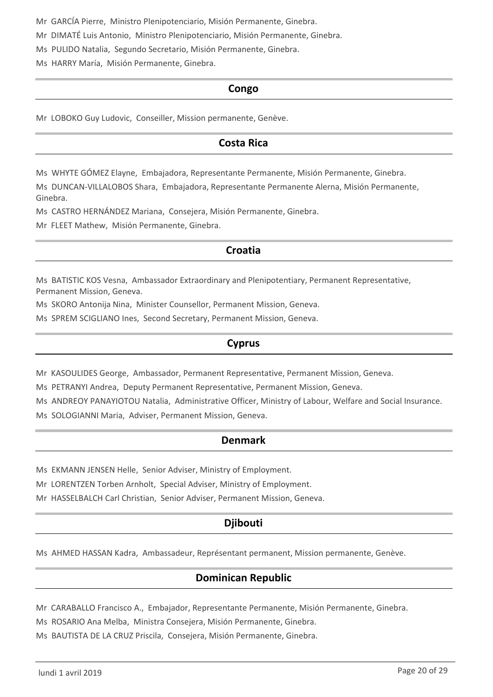Mr GARCÍA Pierre, Ministro Plenipotenciario, Misión Permanente, Ginebra.

Mr DIMATÉ Luis Antonio, Ministro Plenipotenciario, Misión Permanente, Ginebra.

Ms PULIDO Natalia, Segundo Secretario, Misión Permanente, Ginebra.

Ms HARRY María, Misión Permanente, Ginebra.

### **Congo**

Mr LOBOKO Guy Ludovic, Conseiller, Mission permanente, Genève.

## **Costa Rica**

Ms WHYTE GÓMEZ Elayne, Embajadora, Representante Permanente, Misión Permanente, Ginebra.

Ms DUNCAN-VILLALOBOS Shara, Embajadora, Representante Permanente Alerna, Misión Permanente, Ginebra.

Ms CASTRO HERNÁNDEZ Mariana, Consejera, Misión Permanente, Ginebra.

Mr FLEET Mathew, Misión Permanente, Ginebra.

## **Croatia**

Ms BATISTIC KOS Vesna, Ambassador Extraordinary and Plenipotentiary, Permanent Representative, Permanent Mission, Geneva.

Ms SKORO Antonija Nina, Minister Counsellor, Permanent Mission, Geneva.

Ms SPREM SCIGLIANO Ines, Second Secretary, Permanent Mission, Geneva.

## **Cyprus**

Mr KASOULIDES George, Ambassador, Permanent Representative, Permanent Mission, Geneva.

Ms PETRANYI Andrea, Deputy Permanent Representative, Permanent Mission, Geneva.

Ms ANDREOY PANAYIOTOU Natalia, Administrative Officer, Ministry of Labour, Welfare and Social Insurance.

Ms SOLOGIANNI Maria, Adviser, Permanent Mission, Geneva.

## **Denmark**

Ms EKMANN JENSEN Helle, Senior Adviser, Ministry of Employment.

Mr LORENTZEN Torben Arnholt, Special Adviser, Ministry of Employment.

Mr HASSELBALCH Carl Christian, Senior Adviser, Permanent Mission, Geneva.

## **Djibouti**

Ms AHMED HASSAN Kadra, Ambassadeur, Représentant permanent, Mission permanente, Genève.

## **Dominican Republic**

Mr CARABALLO Francisco A., Embajador, Representante Permanente, Misión Permanente, Ginebra.

Ms ROSARIO Ana Melba, Ministra Consejera, Misión Permanente, Ginebra.

Ms BAUTISTA DE LA CRUZ Priscila, Consejera, Misión Permanente, Ginebra.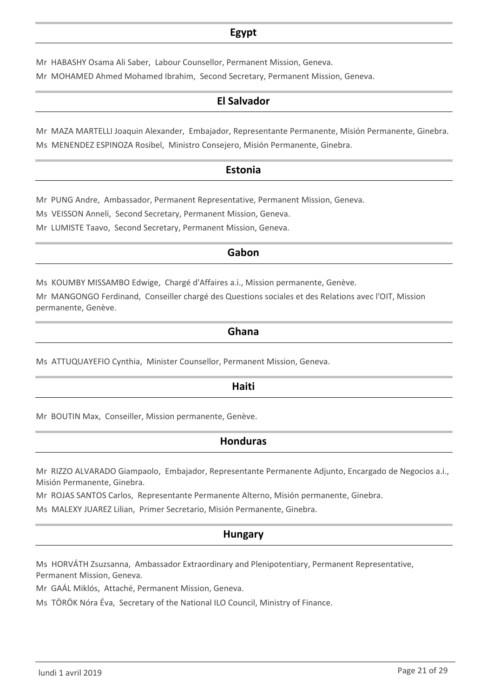## **Egypt**

Mr HABASHY Osama Ali Saber, Labour Counsellor, Permanent Mission, Geneva. Mr MOHAMED Ahmed Mohamed Ibrahim, Second Secretary, Permanent Mission, Geneva.

## **El Salvador**

Mr MAZA MARTELLI Joaquin Alexander, Embajador, Representante Permanente, Misión Permanente, Ginebra. Ms MENENDEZ ESPINOZA Rosibel, Ministro Consejero, Misión Permanente, Ginebra.

### **Estonia**

Mr PUNG Andre, Ambassador, Permanent Representative, Permanent Mission, Geneva.

Ms VEISSON Anneli, Second Secretary, Permanent Mission, Geneva.

Mr LUMISTE Taavo, Second Secretary, Permanent Mission, Geneva.

## **Gabon**

Ms KOUMBY MISSAMBO Edwige, Chargé d'Affaires a.i., Mission permanente, Genève.

Mr MANGONGO Ferdinand, Conseiller chargé des Questions sociales et des Relations avec l'OIT, Mission permanente, Genève.

### **Ghana**

Ms ATTUQUAYEFIO Cynthia, Minister Counsellor, Permanent Mission, Geneva.

### **Haiti**

Mr BOUTIN Max, Conseiller, Mission permanente, Genève.

## **Honduras**

Mr RIZZO ALVARADO Giampaolo, Embajador, Representante Permanente Adjunto, Encargado de Negocios a.i., Misión Permanente, Ginebra.

Mr ROJAS SANTOS Carlos, Representante Permanente Alterno, Misión permanente, Ginebra.

Ms MALEXY JUAREZ Lilian, Primer Secretario, Misión Permanente, Ginebra.

## **Hungary**

Ms HORVÁTH Zsuzsanna, Ambassador Extraordinary and Plenipotentiary, Permanent Representative, Permanent Mission, Geneva.

Mr GAÁL Miklós, Attaché, Permanent Mission, Geneva.

Ms TÖRÖK Nóra Éva, Secretary of the National ILO Council, Ministry of Finance.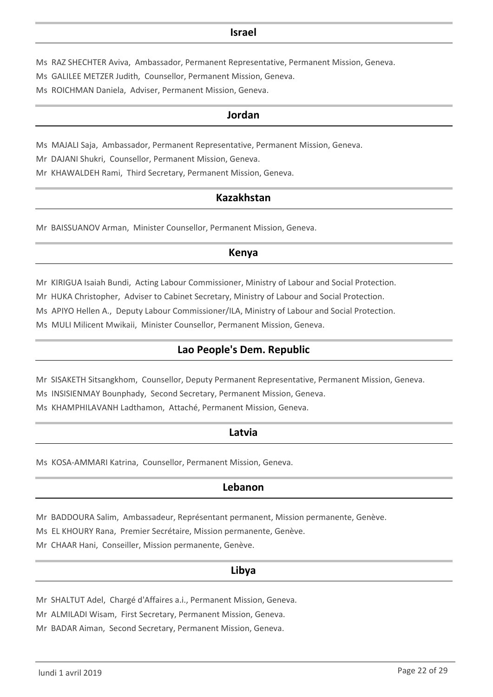### **Israel**

- Ms RAZ SHECHTER Aviva, Ambassador, Permanent Representative, Permanent Mission, Geneva.
- Ms GALILEE METZER Judith, Counsellor, Permanent Mission, Geneva.
- Ms ROICHMAN Daniela, Adviser, Permanent Mission, Geneva.

### **Jordan**

Ms MAJALI Saja, Ambassador, Permanent Representative, Permanent Mission, Geneva.

Mr DAJANI Shukri, Counsellor, Permanent Mission, Geneva.

Mr KHAWALDEH Rami, Third Secretary, Permanent Mission, Geneva.

### **Kazakhstan**

Mr BAISSUANOV Arman, Minister Counsellor, Permanent Mission, Geneva.

### **Kenya**

Mr KIRIGUA Isaiah Bundi, Acting Labour Commissioner, Ministry of Labour and Social Protection.

Mr HUKA Christopher, Adviser to Cabinet Secretary, Ministry of Labour and Social Protection.

Ms APIYO Hellen A., Deputy Labour Commissioner/ILA, Ministry of Labour and Social Protection.

Ms MULI Milicent Mwikaii, Minister Counsellor, Permanent Mission, Geneva.

## **Lao People's Dem. Republic**

Mr SISAKETH Sitsangkhom, Counsellor, Deputy Permanent Representative, Permanent Mission, Geneva.

Ms INSISIENMAY Bounphady, Second Secretary, Permanent Mission, Geneva.

Ms KHAMPHILAVANH Ladthamon, Attaché, Permanent Mission, Geneva.

### **Latvia**

Ms KOSA-AMMARI Katrina, Counsellor, Permanent Mission, Geneva.

## **Lebanon**

Mr BADDOURA Salim, Ambassadeur, Représentant permanent, Mission permanente, Genève.

Ms EL KHOURY Rana, Premier Secrétaire, Mission permanente, Genève.

Mr CHAAR Hani, Conseiller, Mission permanente, Genève.

### **Libya**

Mr SHALTUT Adel, Chargé d'Affaires a.i., Permanent Mission, Geneva.

Mr ALMILADI Wisam, First Secretary, Permanent Mission, Geneva.

Mr BADAR Aiman, Second Secretary, Permanent Mission, Geneva.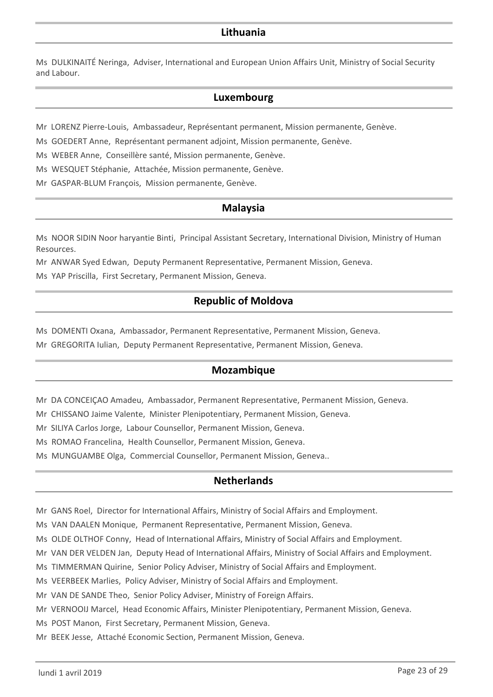## **Lithuania**

Ms DULKINAITÉ Neringa, Adviser, International and European Union Affairs Unit, Ministry of Social Security and Labour.

## **Luxembourg**

Mr LORENZ Pierre-Louis, Ambassadeur, Représentant permanent, Mission permanente, Genève.

Ms GOEDERT Anne, Représentant permanent adjoint, Mission permanente, Genève.

Ms WEBER Anne, Conseillère santé, Mission permanente, Genève.

Ms WESQUET Stéphanie, Attachée, Mission permanente, Genève.

Mr GASPAR-BLUM François, Mission permanente, Genève.

## **Malaysia**

Ms NOOR SIDIN Noor haryantie Binti, Principal Assistant Secretary, International Division, Ministry of Human Resources.

Mr ANWAR Syed Edwan, Deputy Permanent Representative, Permanent Mission, Geneva.

Ms YAP Priscilla, First Secretary, Permanent Mission, Geneva.

## **Republic of Moldova**

Ms DOMENTI Oxana, Ambassador, Permanent Representative, Permanent Mission, Geneva.

Mr GREGORITA Iulian, Deputy Permanent Representative, Permanent Mission, Geneva.

## **Mozambique**

Mr DA CONCEIÇAO Amadeu, Ambassador, Permanent Representative, Permanent Mission, Geneva.

Mr CHISSANO Jaime Valente, Minister Plenipotentiary, Permanent Mission, Geneva.

Mr SILIYA Carlos Jorge, Labour Counsellor, Permanent Mission, Geneva.

Ms ROMAO Francelina, Health Counsellor, Permanent Mission, Geneva.

Ms MUNGUAMBE Olga, Commercial Counsellor, Permanent Mission, Geneva..

## **Netherlands**

Mr GANS Roel, Director for International Affairs, Ministry of Social Affairs and Employment.

Ms VAN DAALEN Monique, Permanent Representative, Permanent Mission, Geneva.

Ms OLDE OLTHOF Conny, Head of International Affairs, Ministry of Social Affairs and Employment.

Mr VAN DER VELDEN Jan, Deputy Head of International Affairs, Ministry of Social Affairs and Employment.

Ms TIMMERMAN Quirine, Senior Policy Adviser, Ministry of Social Affairs and Employment.

Ms VEERBEEK Marlies, Policy Adviser, Ministry of Social Affairs and Employment.

Mr VAN DE SANDE Theo, Senior Policy Adviser, Ministry of Foreign Affairs.

Mr VERNOOIJ Marcel, Head Economic Affairs, Minister Plenipotentiary, Permanent Mission, Geneva.

Ms POST Manon, First Secretary, Permanent Mission, Geneva.

Mr BEEK Jesse, Attaché Economic Section, Permanent Mission, Geneva.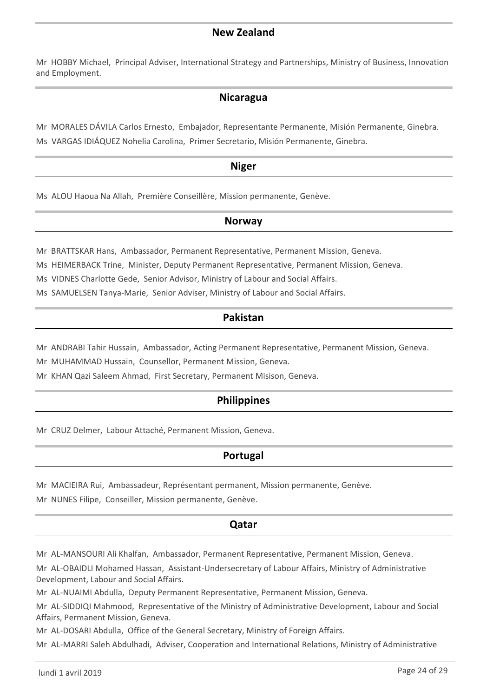Mr HOBBY Michael, Principal Adviser, International Strategy and Partnerships, Ministry of Business, Innovation and Employment.

## **Nicaragua**

Mr MORALES DÁVILA Carlos Ernesto, Embajador, Representante Permanente, Misión Permanente, Ginebra. Ms VARGAS IDIÁQUEZ Nohelia Carolina, Primer Secretario, Misión Permanente, Ginebra.

## **Niger**

Ms ALOU Haoua Na Allah, Première Conseillère, Mission permanente, Genève.

## **Norway**

Mr BRATTSKAR Hans, Ambassador, Permanent Representative, Permanent Mission, Geneva.

Ms HEIMERBACK Trine, Minister, Deputy Permanent Representative, Permanent Mission, Geneva.

Ms VIDNES Charlotte Gede, Senior Advisor, Ministry of Labour and Social Affairs.

Ms SAMUELSEN Tanya-Marie, Senior Adviser, Ministry of Labour and Social Affairs.

## **Pakistan**

Mr ANDRABI Tahir Hussain, Ambassador, Acting Permanent Representative, Permanent Mission, Geneva.

Mr MUHAMMAD Hussain, Counsellor, Permanent Mission, Geneva.

Mr KHAN Qazi Saleem Ahmad, First Secretary, Permanent Misison, Geneva.

## **Philippines**

Mr CRUZ Delmer, Labour Attaché, Permanent Mission, Geneva.

## **Portugal**

Mr MACIEIRA Rui, Ambassadeur, Représentant permanent, Mission permanente, Genève.

Mr NUNES Filipe, Conseiller, Mission permanente, Genève.

## **Qatar**

Mr AL-MANSOURI Ali Khalfan, Ambassador, Permanent Representative, Permanent Mission, Geneva.

Mr AL-OBAIDLI Mohamed Hassan, Assistant-Undersecretary of Labour Affairs, Ministry of Administrative Development, Labour and Social Affairs.

Mr AL-NUAIMI Abdulla, Deputy Permanent Representative, Permanent Mission, Geneva.

Mr AL-SIDDIQI Mahmood, Representative of the Ministry of Administrative Development, Labour and Social Affairs, Permanent Mission, Geneva.

Mr AL-DOSARI Abdulla, Office of the General Secretary, Ministry of Foreign Affairs.

Mr AL-MARRI Saleh Abdulhadi, Adviser, Cooperation and International Relations, Ministry of Administrative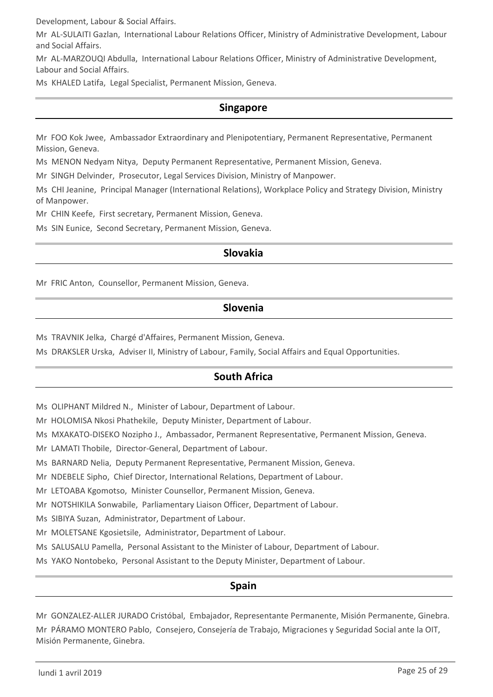Development, Labour & Social Affairs.

Mr AL-SULAITI Gazlan, International Labour Relations Officer, Ministry of Administrative Development, Labour and Social Affairs.

Mr AL-MARZOUQI Abdulla, International Labour Relations Officer, Ministry of Administrative Development, Labour and Social Affairs.

Ms KHALED Latifa, Legal Specialist, Permanent Mission, Geneva.

## **Singapore**

Mr FOO Kok Jwee, Ambassador Extraordinary and Plenipotentiary, Permanent Representative, Permanent Mission, Geneva.

Ms MENON Nedyam Nitya, Deputy Permanent Representative, Permanent Mission, Geneva.

Mr SINGH Delvinder, Prosecutor, Legal Services Division, Ministry of Manpower.

Ms CHI Jeanine, Principal Manager (International Relations), Workplace Policy and Strategy Division, Ministry of Manpower.

Mr CHIN Keefe, First secretary, Permanent Mission, Geneva.

Ms SIN Eunice, Second Secretary, Permanent Mission, Geneva.

## **Slovakia**

Mr FRIC Anton, Counsellor, Permanent Mission, Geneva.

## **Slovenia**

Ms TRAVNIK Jelka, Chargé d'Affaires, Permanent Mission, Geneva.

Ms DRAKSLER Urska, Adviser II, Ministry of Labour, Family, Social Affairs and Equal Opportunities.

## **South Africa**

Ms OLIPHANT Mildred N., Minister of Labour, Department of Labour.

Mr HOLOMISA Nkosi Phathekile, Deputy Minister, Department of Labour.

Ms MXAKATO-DISEKO Nozipho J., Ambassador, Permanent Representative, Permanent Mission, Geneva.

Mr LAMATI Thobile, Director-General, Department of Labour.

Ms BARNARD Nelia, Deputy Permanent Representative, Permanent Mission, Geneva.

Mr NDEBELE Sipho, Chief Director, International Relations, Department of Labour.

Mr LETOABA Kgomotso, Minister Counsellor, Permanent Mission, Geneva.

Mr NOTSHIKILA Sonwabile, Parliamentary Liaison Officer, Department of Labour.

Ms SIBIYA Suzan, Administrator, Department of Labour.

Mr MOLETSANE Kgosietsile, Administrator, Department of Labour.

Ms SALUSALU Pamella, Personal Assistant to the Minister of Labour, Department of Labour.

Ms YAKO Nontobeko, Personal Assistant to the Deputy Minister, Department of Labour.

## **Spain**

Mr GONZALEZ-ALLER JURADO Cristóbal, Embajador, Representante Permanente, Misión Permanente, Ginebra. Mr PÁRAMO MONTERO Pablo, Consejero, Consejería de Trabajo, Migraciones y Seguridad Social ante la OIT, Misión Permanente, Ginebra.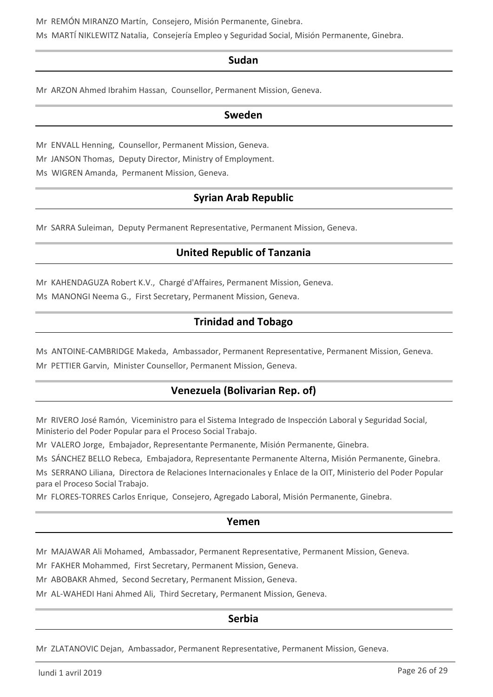Mr REMÓN MIRANZO Martín, Consejero, Misión Permanente, Ginebra.

Ms MARTÍ NIKLEWITZ Natalia, Consejería Empleo y Seguridad Social, Misión Permanente, Ginebra.

## **Sudan**

Mr ARZON Ahmed Ibrahim Hassan, Counsellor, Permanent Mission, Geneva.

### **Sweden**

Mr ENVALL Henning, Counsellor, Permanent Mission, Geneva.

Mr JANSON Thomas, Deputy Director, Ministry of Employment.

Ms WIGREN Amanda, Permanent Mission, Geneva.

## **Syrian Arab Republic**

Mr SARRA Suleiman, Deputy Permanent Representative, Permanent Mission, Geneva.

## **United Republic of Tanzania**

Mr KAHENDAGUZA Robert K.V., Chargé d'Affaires, Permanent Mission, Geneva.

Ms MANONGI Neema G., First Secretary, Permanent Mission, Geneva.

## **Trinidad and Tobago**

Ms ANTOINE-CAMBRIDGE Makeda, Ambassador, Permanent Representative, Permanent Mission, Geneva.

Mr PETTIER Garvin, Minister Counsellor, Permanent Mission, Geneva.

## **Venezuela (Bolivarian Rep. of)**

Mr RIVERO José Ramón, Viceministro para el Sistema Integrado de Inspección Laboral y Seguridad Social, Ministerio del Poder Popular para el Proceso Social Trabajo.

Mr VALERO Jorge, Embajador, Representante Permanente, Misión Permanente, Ginebra.

Ms SÁNCHEZ BELLO Rebeca, Embajadora, Representante Permanente Alterna, Misión Permanente, Ginebra.

Ms SERRANO Liliana, Directora de Relaciones Internacionales y Enlace de la OIT, Ministerio del Poder Popular para el Proceso Social Trabajo.

Mr FLORES-TORRES Carlos Enrique, Consejero, Agregado Laboral, Misión Permanente, Ginebra.

### **Yemen**

Mr MAJAWAR Ali Mohamed, Ambassador, Permanent Representative, Permanent Mission, Geneva.

Mr FAKHER Mohammed, First Secretary, Permanent Mission, Geneva.

Mr ABOBAKR Ahmed, Second Secretary, Permanent Mission, Geneva.

Mr AL-WAHEDI Hani Ahmed Ali, Third Secretary, Permanent Mission, Geneva.

## **Serbia**

Mr ZLATANOVIC Dejan, Ambassador, Permanent Representative, Permanent Mission, Geneva.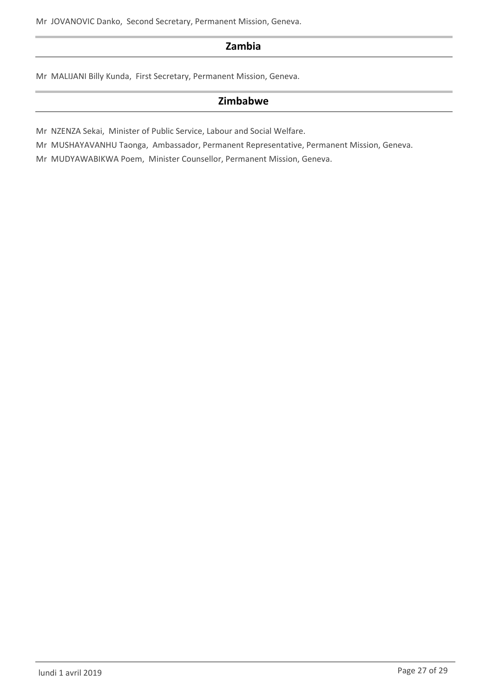Mr JOVANOVIC Danko, Second Secretary, Permanent Mission, Geneva.

## **Zambia**

Mr MALIJANI Billy Kunda, First Secretary, Permanent Mission, Geneva.

## **Zimbabwe**

Mr NZENZA Sekai, Minister of Public Service, Labour and Social Welfare.

Mr MUSHAYAVANHU Taonga, Ambassador, Permanent Representative, Permanent Mission, Geneva.

Mr MUDYAWABIKWA Poem, Minister Counsellor, Permanent Mission, Geneva.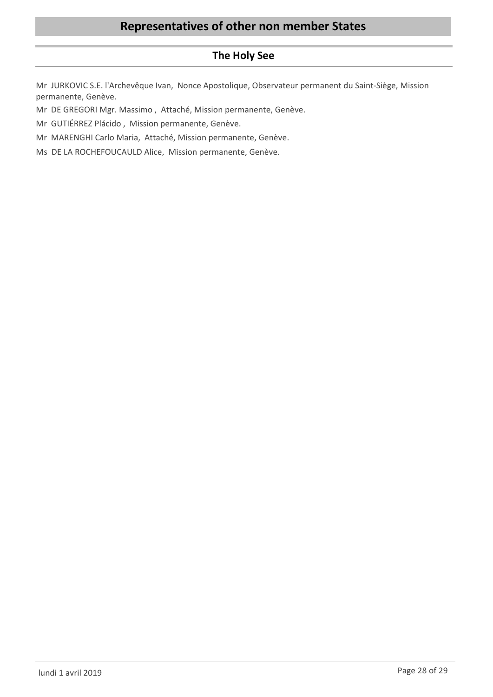## **The Holy See**

Mr JURKOVIC S.E. l'Archevêque Ivan, Nonce Apostolique, Observateur permanent du Saint-Siège, Mission permanente, Genève.

Mr DE GREGORI Mgr. Massimo , Attaché, Mission permanente, Genève.

Mr GUTIÉRREZ Plácido , Mission permanente, Genève.

Mr MARENGHI Carlo Maria, Attaché, Mission permanente, Genève.

Ms DE LA ROCHEFOUCAULD Alice, Mission permanente, Genève.